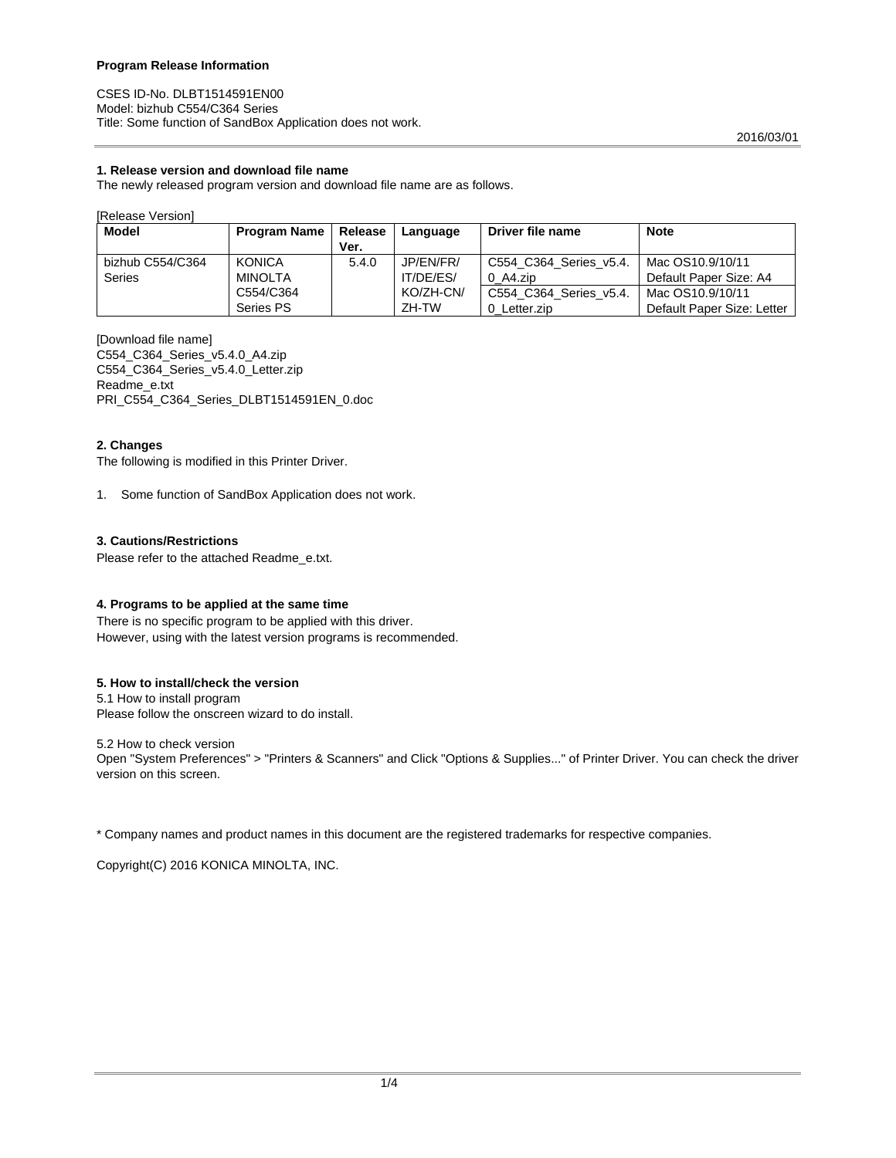CSES ID-No. DLBT1514591EN00 Model: bizhub C554/C364 Series Title: Some function of SandBox Application does not work.

# **1. Release version and download file name**

The newly released program version and download file name are as follows.

#### [Release Version]

| Model            | <b>Program Name</b> | Release | Language  | Driver file name       | <b>Note</b>                |
|------------------|---------------------|---------|-----------|------------------------|----------------------------|
|                  |                     | Ver.    |           |                        |                            |
| bizhub C554/C364 | <b>KONICA</b>       | 5.4.0   | JP/EN/FR/ | C554 C364 Series v5.4. | Mac OS10.9/10/11           |
| Series           | <b>MINOLTA</b>      |         | IT/DE/ES/ | $0$ A4.zip             | Default Paper Size: A4     |
|                  | C554/C364           |         | KO/ZH-CN/ | C554 C364 Series v5.4. | Mac OS10.9/10/11           |
|                  | Series PS           |         | ZH-TW     | 0 Letter.zip           | Default Paper Size: Letter |

[Download file name] C554\_C364\_Series\_v5.4.0\_A4.zip C554\_C364\_Series\_v5.4.0\_Letter.zip Readme\_e.txt PRI\_C554\_C364\_Series\_DLBT1514591EN\_0.doc

# **2. Changes**

The following is modified in this Printer Driver.

1. Some function of SandBox Application does not work.

# **3. Cautions/Restrictions**

Please refer to the attached Readme\_e.txt.

# **4. Programs to be applied at the same time**

There is no specific program to be applied with this driver. However, using with the latest version programs is recommended.

# **5. How to install/check the version**

5.1 How to install program Please follow the onscreen wizard to do install.

5.2 How to check version

Open "System Preferences" > "Printers & Scanners" and Click "Options & Supplies..." of Printer Driver. You can check the driver version on this screen.

\* Company names and product names in this document are the registered trademarks for respective companies.

Copyright(C) 2016 KONICA MINOLTA, INC.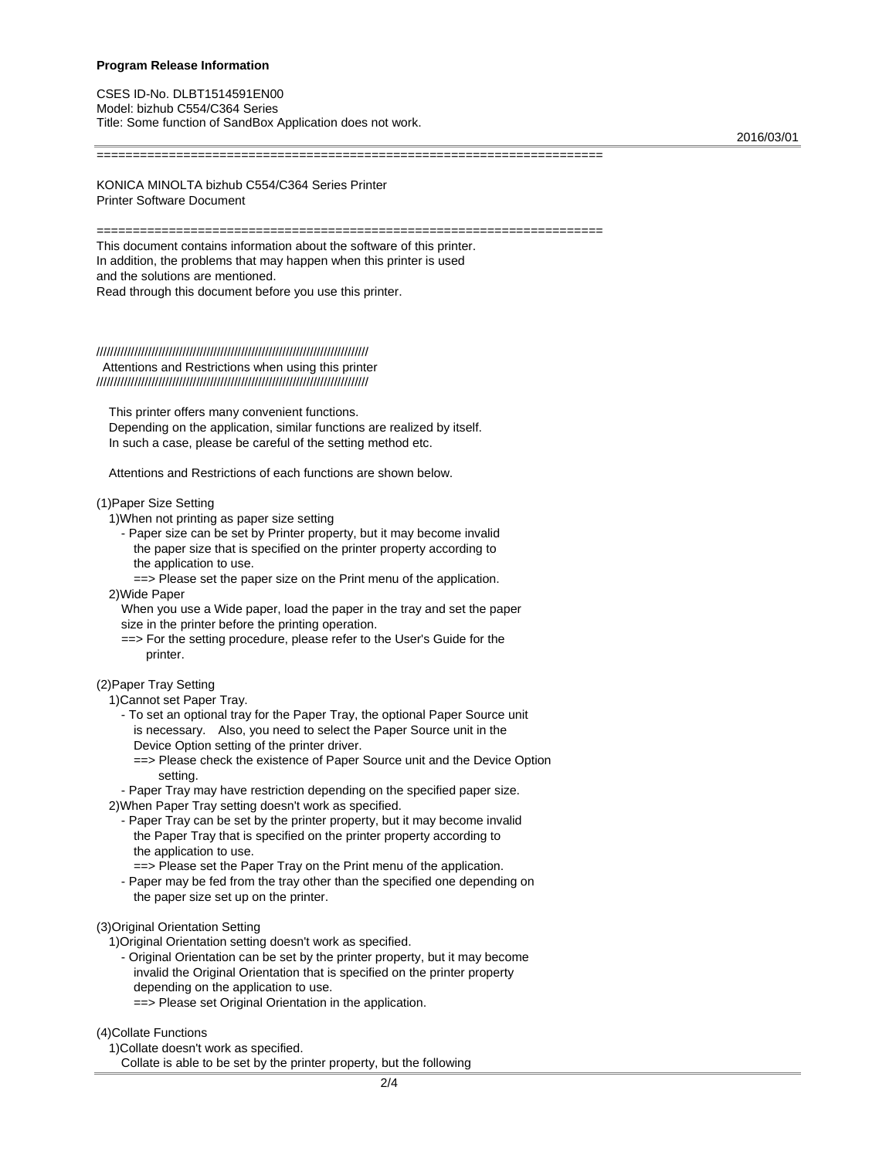CSES ID-No. DLBT1514591EN00 Model: bizhub C554/C364 Series Title: Some function of SandBox Application does not work.

2016/03/01

KONICA MINOLTA bizhub C554/C364 Series Printer Printer Software Document

======================================================================

======================================================================

This document contains information about the software of this printer. In addition, the problems that may happen when this printer is used and the solutions are mentioned. Read through this document before you use this printer.

# ///////////////////////////////////////////////////////////////////////////////

 Attentions and Restrictions when using this printer ///////////////////////////////////////////////////////////////////////////////

 This printer offers many convenient functions. Depending on the application, similar functions are realized by itself. In such a case, please be careful of the setting method etc.

Attentions and Restrictions of each functions are shown below.

#### (1)Paper Size Setting

- 1)When not printing as paper size setting
	- Paper size can be set by Printer property, but it may become invalid the paper size that is specified on the printer property according to the application to use.

 ==> Please set the paper size on the Print menu of the application. 2)Wide Paper

 When you use a Wide paper, load the paper in the tray and set the paper size in the printer before the printing operation.

 ==> For the setting procedure, please refer to the User's Guide for the printer.

# (2)Paper Tray Setting

1)Cannot set Paper Tray.

- To set an optional tray for the Paper Tray, the optional Paper Source unit is necessary. Also, you need to select the Paper Source unit in the Device Option setting of the printer driver.
	- ==> Please check the existence of Paper Source unit and the Device Option setting.

 - Paper Tray may have restriction depending on the specified paper size. 2)When Paper Tray setting doesn't work as specified.

- Paper Tray can be set by the printer property, but it may become invalid the Paper Tray that is specified on the printer property according to the application to use.
- ==> Please set the Paper Tray on the Print menu of the application.
- Paper may be fed from the tray other than the specified one depending on the paper size set up on the printer.

#### (3)Original Orientation Setting

1)Original Orientation setting doesn't work as specified.

- Original Orientation can be set by the printer property, but it may become invalid the Original Orientation that is specified on the printer property depending on the application to use.
	- ==> Please set Original Orientation in the application.

#### (4)Collate Functions

1)Collate doesn't work as specified.

Collate is able to be set by the printer property, but the following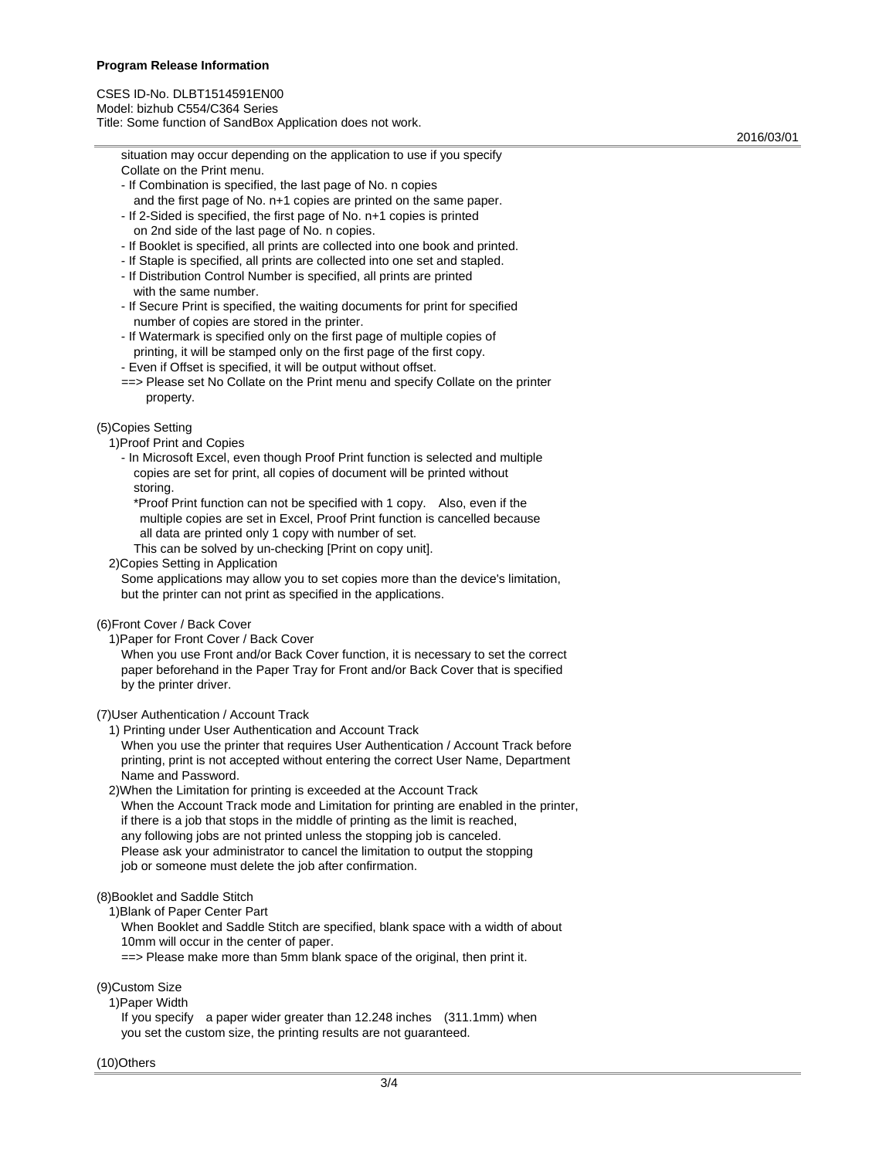CSES ID-No. DLBT1514591EN00 Model: bizhub C554/C364 Series Title: Some function of SandBox Application does not work.

2016/03/01

 situation may occur depending on the application to use if you specify Collate on the Print menu.

- If Combination is specified, the last page of No. n copies and the first page of No. n+1 copies are printed on the same paper.
- If 2-Sided is specified, the first page of No. n+1 copies is printed on 2nd side of the last page of No. n copies.
- If Booklet is specified, all prints are collected into one book and printed.
- If Staple is specified, all prints are collected into one set and stapled.
- If Distribution Control Number is specified, all prints are printed with the same number.
- If Secure Print is specified, the waiting documents for print for specified number of copies are stored in the printer.
- If Watermark is specified only on the first page of multiple copies of printing, it will be stamped only on the first page of the first copy.
- Even if Offset is specified, it will be output without offset.
- ==> Please set No Collate on the Print menu and specify Collate on the printer property.

(5)Copies Setting

- 1)Proof Print and Copies
	- In Microsoft Excel, even though Proof Print function is selected and multiple copies are set for print, all copies of document will be printed without storing.
		- \*Proof Print function can not be specified with 1 copy. Also, even if the multiple copies are set in Excel, Proof Print function is cancelled because all data are printed only 1 copy with number of set.
		- This can be solved by un-checking [Print on copy unit].
- 2)Copies Setting in Application

 Some applications may allow you to set copies more than the device's limitation, but the printer can not print as specified in the applications.

# (6)Front Cover / Back Cover

1)Paper for Front Cover / Back Cover

 When you use Front and/or Back Cover function, it is necessary to set the correct paper beforehand in the Paper Tray for Front and/or Back Cover that is specified by the printer driver.

(7)User Authentication / Account Track

1) Printing under User Authentication and Account Track

 When you use the printer that requires User Authentication / Account Track before printing, print is not accepted without entering the correct User Name, Department Name and Password.

 2)When the Limitation for printing is exceeded at the Account Track When the Account Track mode and Limitation for printing are enabled in the printer, if there is a job that stops in the middle of printing as the limit is reached, any following jobs are not printed unless the stopping job is canceled. Please ask your administrator to cancel the limitation to output the stopping job or someone must delete the job after confirmation.

# (8)Booklet and Saddle Stitch

1)Blank of Paper Center Part

 When Booklet and Saddle Stitch are specified, blank space with a width of about 10mm will occur in the center of paper.

==> Please make more than 5mm blank space of the original, then print it.

(9)Custom Size

1)Paper Width

 If you specify a paper wider greater than 12.248 inches (311.1mm) when you set the custom size, the printing results are not guaranteed.

#### (10)Others